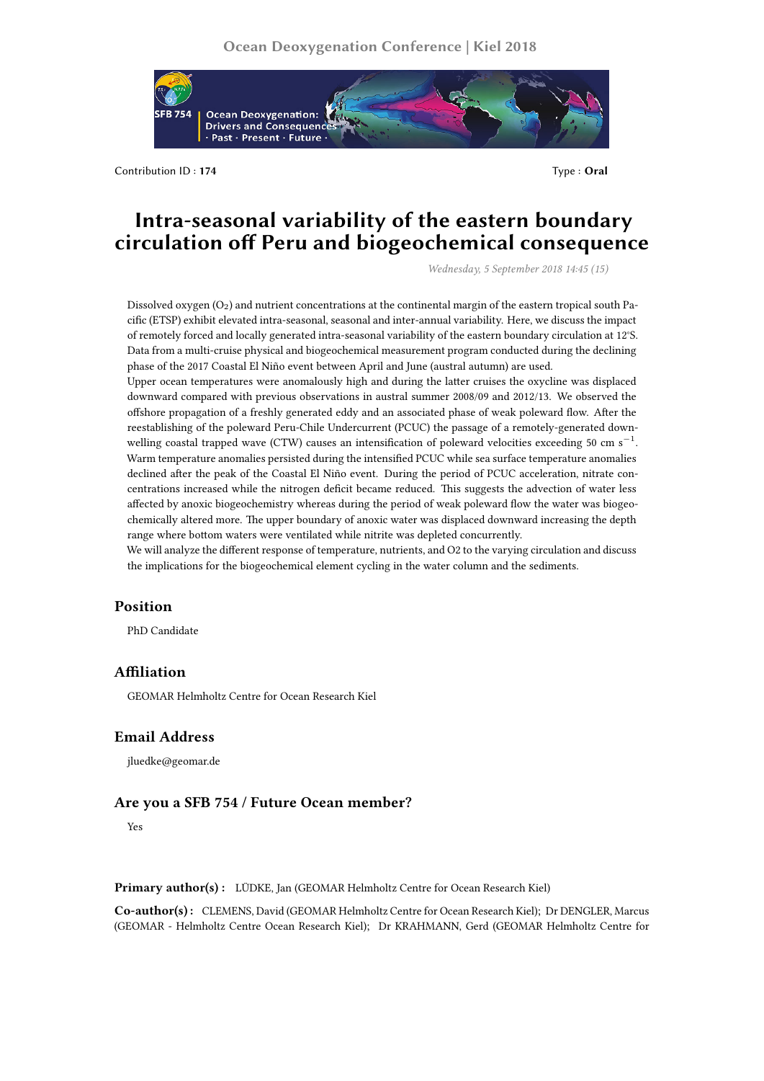

Contribution ID : **174** Type : **Oral**

# **Intra-seasonal variability of the eastern boundary circulation off Peru and biogeochemical consequence**

*Wednesday, 5 September 2018 14:45 (15)*

Dissolved oxygen  $(O_2)$  and nutrient concentrations at the continental margin of the eastern tropical south Pacific (ETSP) exhibit elevated intra-seasonal, seasonal and inter-annual variability. Here, we discuss the impact of remotely forced and locally generated intra-seasonal variability of the eastern boundary circulation at 12°S. Data from a multi-cruise physical and biogeochemical measurement program conducted during the declining phase of the 2017 Coastal El Niño event between April and June (austral autumn) are used.

Upper ocean temperatures were anomalously high and during the latter cruises the oxycline was displaced downward compared with previous observations in austral summer 2008/09 and 2012/13. We observed the offshore propagation of a freshly generated eddy and an associated phase of weak poleward flow. After the reestablishing of the poleward Peru-Chile Undercurrent (PCUC) the passage of a remotely-generated downwelling coastal trapped wave (CTW) causes an intensification of poleward velocities exceeding 50 cm s*−*<sup>1</sup> . Warm temperature anomalies persisted during the intensified PCUC while sea surface temperature anomalies declined after the peak of the Coastal El Niño event. During the period of PCUC acceleration, nitrate concentrations increased while the nitrogen deficit became reduced. This suggests the advection of water less affected by anoxic biogeochemistry whereas during the period of weak poleward flow the water was biogeochemically altered more. The upper boundary of anoxic water was displaced downward increasing the depth range where bottom waters were ventilated while nitrite was depleted concurrently.

We will analyze the different response of temperature, nutrients, and O2 to the varying circulation and discuss the implications for the biogeochemical element cycling in the water column and the sediments.

## **Position**

PhD Candidate

# **Affiliation**

GEOMAR Helmholtz Centre for Ocean Research Kiel

#### **Email Address**

jluedke@geomar.de

## **Are you a SFB 754 / Future Ocean member?**

Yes

**Primary author(s) :** LÜDKE, Jan (GEOMAR Helmholtz Centre for Ocean Research Kiel)

**Co-author(s) :** CLEMENS, David (GEOMAR Helmholtz Centre for Ocean Research Kiel); Dr DENGLER, Marcus (GEOMAR - Helmholtz Centre Ocean Research Kiel); Dr KRAHMANN, Gerd (GEOMAR Helmholtz Centre for